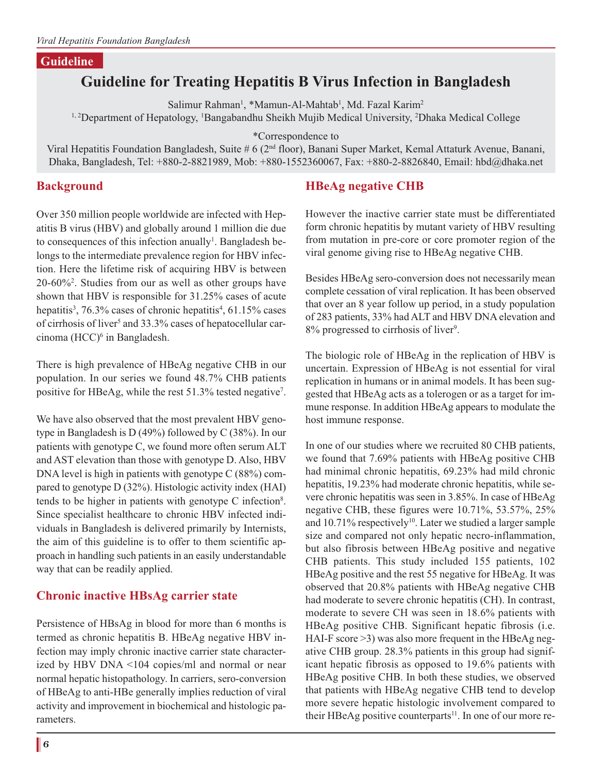#### **Guideline**

# **Guideline for Treating Hepatitis B Virus Infection in Bangladesh**

Salimur Rahman<sup>1</sup>, \*Mamun-Al-Mahtab<sup>1</sup>, Md. Fazal Karim<sup>2</sup>

<sup>1, 2</sup>Department of Hepatology, <sup>1</sup>Bangabandhu Sheikh Mujib Medical University, <sup>2</sup>Dhaka Medical College

\*Correspondence to

Viral Hepatitis Foundation Bangladesh, Suite # 6 (2<sup>nd</sup> floor), Banani Super Market, Kemal Attaturk Avenue, Banani, Dhaka, Bangladesh, Tel: +880-2-8821989, Mob: +880-1552360067, Fax: +880-2-8826840, Email: hbd@dhaka.net

### **Background**

Over 350 million people worldwide are infected with Hepatitis B virus (HBV) and globally around 1 million die due to consequences of this infection anually<sup>1</sup>. Bangladesh belongs to the intermediate prevalence region for HBV infection. Here the lifetime risk of acquiring HBV is between 20-60%2 . Studies from our as well as other groups have shown that HBV is responsible for 31.25% cases of acute hepatitis<sup>3</sup>, 76.3% cases of chronic hepatitis<sup>4</sup>, 61.15% cases of cirrhosis of liver<sup>5</sup> and 33.3% cases of hepatocellular carcinoma (HCC)<sup>6</sup> in Bangladesh.

There is high prevalence of HBeAg negative CHB in our population. In our series we found 48.7% CHB patients positive for HBeAg, while the rest 51.3% tested negative<sup>7</sup>.

We have also observed that the most prevalent HBV genotype in Bangladesh is D (49%) followed by C (38%). In our patients with genotype C, we found more often serum ALT and AST elevation than those with genotype D. Also, HBV DNA level is high in patients with genotype C (88%) compared to genotype D (32%). Histologic activity index (HAI) tends to be higher in patients with genotype C infection<sup>8</sup>. Since specialist healthcare to chronic HBV infected individuals in Bangladesh is delivered primarily by Internists, the aim of this guideline is to offer to them scientific approach in handling such patients in an easily understandable way that can be readily applied.

## **Chronic inactive HBsAg carrier state**

Persistence of HBsAg in blood for more than 6 months is termed as chronic hepatitis B. HBeAg negative HBV infection may imply chronic inactive carrier state characterized by HBV DNA <104 copies/ml and normal or near normal hepatic histopathology. In carriers, sero-conversion of HBeAg to anti-HBe generally implies reduction of viral activity and improvement in biochemical and histologic parameters.

## **HBeAg negative CHB**

However the inactive carrier state must be differentiated form chronic hepatitis by mutant variety of HBV resulting from mutation in pre-core or core promoter region of the viral genome giving rise to HBeAg negative CHB.

Besides HBeAg sero-conversion does not necessarily mean complete cessation of viral replication. It has been observed that over an 8 year follow up period, in a study population of 283 patients, 33% had ALT and HBV DNA elevation and 8% progressed to cirrhosis of liver<sup>9</sup>.

The biologic role of HBeAg in the replication of HBV is uncertain. Expression of HBeAg is not essential for viral replication in humans or in animal models. It has been suggested that HBeAg acts as a tolerogen or as a target for immune response. In addition HBeAg appears to modulate the host immune response.

In one of our studies where we recruited 80 CHB patients, we found that 7.69% patients with HBeAg positive CHB had minimal chronic hepatitis, 69.23% had mild chronic hepatitis, 19.23% had moderate chronic hepatitis, while severe chronic hepatitis was seen in 3.85%. In case of HBeAg negative CHB, these figures were 10.71%, 53.57%, 25% and 10.71% respectively<sup>10</sup>. Later we studied a larger sample size and compared not only hepatic necro-inflammation, but also fibrosis between HBeAg positive and negative CHB patients. This study included 155 patients, 102 HBeAg positive and the rest 55 negative for HBeAg. It was observed that 20.8% patients with HBeAg negative CHB had moderate to severe chronic hepatitis (CH). In contrast, moderate to severe CH was seen in 18.6% patients with HBeAg positive CHB. Significant hepatic fibrosis (i.e. HAI-F score >3) was also more frequent in the HBeAg negative CHB group. 28.3% patients in this group had significant hepatic fibrosis as opposed to 19.6% patients with HBeAg positive CHB. In both these studies, we observed that patients with HBeAg negative CHB tend to develop more severe hepatic histologic involvement compared to their HBeAg positive counterparts<sup>11</sup>. In one of our more re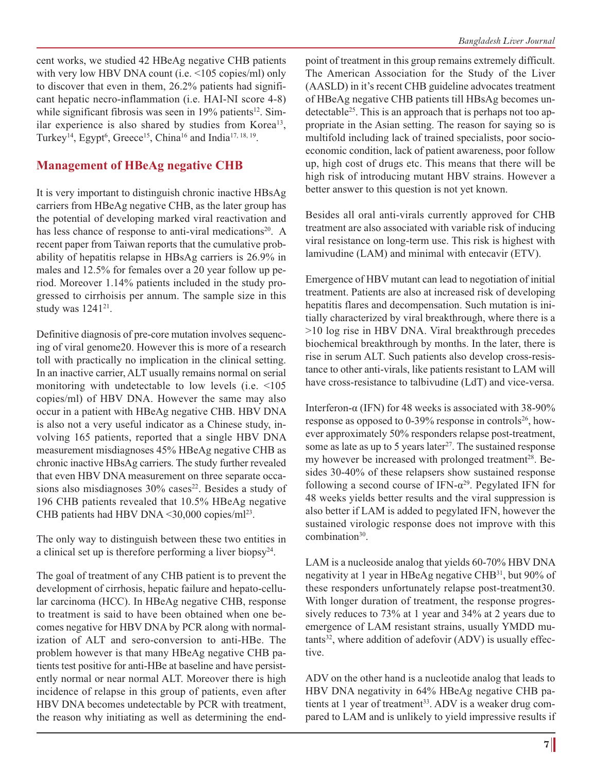cent works, we studied 42 HBeAg negative CHB patients with very low HBV DNA count (i.e. <105 copies/ml) only to discover that even in them, 26.2% patients had significant hepatic necro-inflammation (i.e. HAI-NI score 4-8) while significant fibrosis was seen in  $19\%$  patients<sup>12</sup>. Similar experience is also shared by studies from Korea<sup>13</sup>, Turkey<sup>14</sup>, Egypt<sup>6</sup>, Greece<sup>15</sup>, China<sup>16</sup> and India<sup>17, 18, <sup>19</sup>.</sup>

### **Management of HBeAg negative CHB**

It is very important to distinguish chronic inactive HBsAg carriers from HBeAg negative CHB, as the later group has the potential of developing marked viral reactivation and has less chance of response to anti-viral medications<sup>20</sup>. A recent paper from Taiwan reports that the cumulative probability of hepatitis relapse in HBsAg carriers is 26.9% in males and 12.5% for females over a 20 year follow up period. Moreover 1.14% patients included in the study progressed to cirrhoisis per annum. The sample size in this study was 1241<sup>21</sup>.

Definitive diagnosis of pre-core mutation involves sequencing of viral genome20. However this is more of a research toll with practically no implication in the clinical setting. In an inactive carrier, ALT usually remains normal on serial monitoring with undetectable to low levels (i.e. <105 copies/ml) of HBV DNA. However the same may also occur in a patient with HBeAg negative CHB. HBV DNA is also not a very useful indicator as a Chinese study, involving 165 patients, reported that a single HBV DNA measurement misdiagnoses 45% HBeAg negative CHB as chronic inactive HBsAg carriers. The study further revealed that even HBV DNA measurement on three separate occasions also misdiagnoses  $30\%$  cases<sup>22</sup>. Besides a study of 196 CHB patients revealed that 10.5% HBeAg negative CHB patients had HBV DNA <30,000 copies/ml<sup>23</sup>.

The only way to distinguish between these two entities in a clinical set up is therefore performing a liver biopsy<sup>24</sup>.

The goal of treatment of any CHB patient is to prevent the development of cirrhosis, hepatic failure and hepato-cellular carcinoma (HCC). In HBeAg negative CHB, response to treatment is said to have been obtained when one becomes negative for HBV DNA by PCR along with normalization of ALT and sero-conversion to anti-HBe. The problem however is that many HBeAg negative CHB patients test positive for anti-HBe at baseline and have persistently normal or near normal ALT. Moreover there is high incidence of relapse in this group of patients, even after HBV DNA becomes undetectable by PCR with treatment, the reason why initiating as well as determining the endpoint of treatment in this group remains extremely difficult. The American Association for the Study of the Liver (AASLD) in it's recent CHB guideline advocates treatment of HBeAg negative CHB patients till HBsAg becomes undetectable<sup>25</sup>. This is an approach that is perhaps not too appropriate in the Asian setting. The reason for saying so is multifold including lack of trained specialists, poor socioeconomic condition, lack of patient awareness, poor follow up, high cost of drugs etc. This means that there will be high risk of introducing mutant HBV strains. However a better answer to this question is not yet known.

Besides all oral anti-virals currently approved for CHB treatment are also associated with variable risk of inducing viral resistance on long-term use. This risk is highest with lamivudine (LAM) and minimal with entecavir (ETV).

Emergence of HBV mutant can lead to negotiation of initial treatment. Patients are also at increased risk of developing hepatitis flares and decompensation. Such mutation is initially characterized by viral breakthrough, where there is a >10 log rise in HBV DNA. Viral breakthrough precedes biochemical breakthrough by months. In the later, there is rise in serum ALT. Such patients also develop cross-resistance to other anti-virals, like patients resistant to LAM will have cross-resistance to talbivudine (LdT) and vice-versa.

Interferon-α (IFN) for 48 weeks is associated with  $38-90\%$ response as opposed to  $0-39\%$  response in controls<sup>26</sup>, however approximately 50% responders relapse post-treatment, some as late as up to 5 years later<sup>27</sup>. The sustained response my however be increased with prolonged treatment<sup>28</sup>. Besides 30-40% of these relapsers show sustained response following a second course of  $IFN-\alpha^{29}$ . Pegylated IFN for 48 weeks yields better results and the viral suppression is also better if LAM is added to pegylated IFN, however the sustained virologic response does not improve with this combination<sup>30</sup>.

LAM is a nucleoside analog that yields 60-70% HBV DNA negativity at 1 year in HBeAg negative CHB31, but 90% of these responders unfortunately relapse post-treatment30. With longer duration of treatment, the response progressively reduces to 73% at 1 year and 34% at 2 years due to emergence of LAM resistant strains, usually YMDD mu $tants<sup>32</sup>$ , where addition of adefovir (ADV) is usually effective.

ADV on the other hand is a nucleotide analog that leads to HBV DNA negativity in 64% HBeAg negative CHB patients at 1 year of treatment<sup>33</sup>. ADV is a weaker drug compared to LAM and is unlikely to yield impressive results if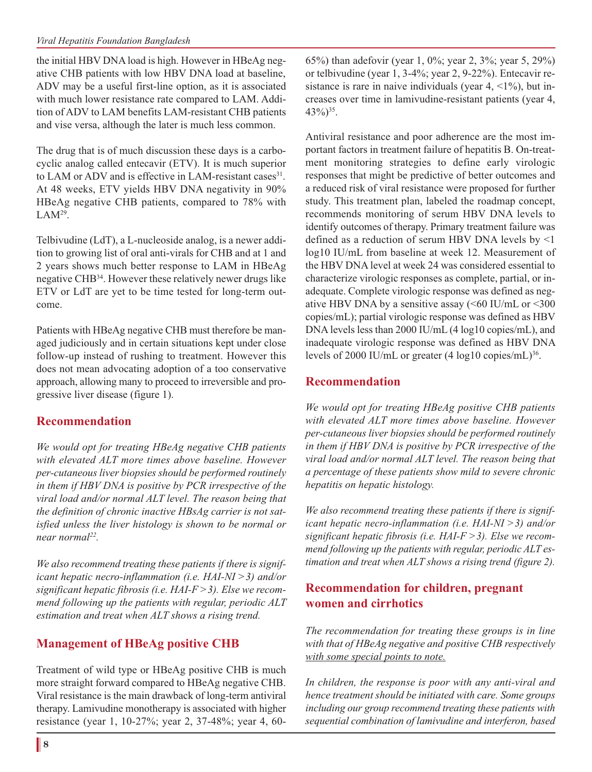#### *Viral Hepatitis Foundation Bangladesh*

the initial HBV DNA load is high. However in HBeAg negative CHB patients with low HBV DNA load at baseline, ADV may be a useful first-line option, as it is associated with much lower resistance rate compared to LAM. Addition of ADV to LAM benefits LAM-resistant CHB patients and vise versa, although the later is much less common.

The drug that is of much discussion these days is a carbocyclic analog called entecavir (ETV). It is much superior to LAM or ADV and is effective in LAM-resistant cases<sup>31</sup>. At 48 weeks, ETV yields HBV DNA negativity in 90% HBeAg negative CHB patients, compared to 78% with  $LAM<sup>29</sup>$ .

Telbivudine (LdT), a L-nucleoside analog, is a newer addition to growing list of oral anti-virals for CHB and at 1 and 2 years shows much better response to LAM in HBeAg negative CHB34. However these relatively newer drugs like ETV or LdT are yet to be time tested for long-term outcome.

Patients with HBeAg negative CHB must therefore be managed judiciously and in certain situations kept under close follow-up instead of rushing to treatment. However this does not mean advocating adoption of a too conservative approach, allowing many to proceed to irreversible and progressive liver disease (figure 1).

## **Recommendation**

*We would opt for treating HBeAg negative CHB patients with elevated ALT more times above baseline. However per-cutaneous liver biopsies should be performed routinely in them if HBV DNA is positive by PCR irrespective of the viral load and/or normal ALT level. The reason being that the definition of chronic inactive HBsAg carrier is not satisfied unless the liver histology is shown to be normal or near normal22.*

*We also recommend treating these patients if there is significant hepatic necro-inflammation (i.e. HAI-NI >3) and/or significant hepatic fibrosis (i.e. HAI-F >3). Else we recommend following up the patients with regular, periodic ALT estimation and treat when ALT shows a rising trend.*

# **Management of HBeAg positive CHB**

Treatment of wild type or HBeAg positive CHB is much more straight forward compared to HBeAg negative CHB. Viral resistance is the main drawback of long-term antiviral therapy. Lamivudine monotherapy is associated with higher resistance (year 1, 10-27%; year 2, 37-48%; year 4, 6065%) than adefovir (year 1, 0%; year 2, 3%; year 5, 29%) or telbivudine (year 1, 3-4%; year 2, 9-22%). Entecavir resistance is rare in naive individuals (year  $4, \leq 1\%$ ), but increases over time in lamivudine-resistant patients (year 4,  $43\%/0^{35}$ .

Antiviral resistance and poor adherence are the most important factors in treatment failure of hepatitis B. On-treatment monitoring strategies to define early virologic responses that might be predictive of better outcomes and a reduced risk of viral resistance were proposed for further study. This treatment plan, labeled the roadmap concept, recommends monitoring of serum HBV DNA levels to identify outcomes of therapy. Primary treatment failure was defined as a reduction of serum HBV DNA levels by <1 log10 IU/mL from baseline at week 12. Measurement of the HBV DNA level at week 24 was considered essential to characterize virologic responses as complete, partial, or inadequate. Complete virologic response was defined as negative HBV DNA by a sensitive assay  $( $60$  IU/mL or  $$300$$$ copies/mL); partial virologic response was defined as HBV DNA levels less than 2000 IU/mL (4 log10 copies/mL), and inadequate virologic response was defined as HBV DNA levels of 2000 IU/mL or greater  $(4 \log 10 \text{ copies/mL})^{36}$ .

## **Recommendation**

*We would opt for treating HBeAg positive CHB patients with elevated ALT more times above baseline. However per-cutaneous liver biopsies should be performed routinely in them if HBV DNA is positive by PCR irrespective of the viral load and/or normal ALT level. The reason being that a percentage of these patients show mild to severe chronic hepatitis on hepatic histology.*

*We also recommend treating these patients if there is significant hepatic necro-inflammation (i.e. HAI-NI >3) and/or significant hepatic fibrosis (i.e. HAI-F >3). Else we recommend following up the patients with regular, periodic ALT estimation and treat when ALT shows a rising trend (figure 2).*

## **Recommendation for children, pregnant women and cirrhotics**

*The recommendation for treating these groups is in line with that of HBeAg negative and positive CHB respectively with some special points to note.*

*In children, the response is poor with any anti-viral and hence treatment should be initiated with care. Some groups including our group recommend treating these patients with sequential combination of lamivudine and interferon, based*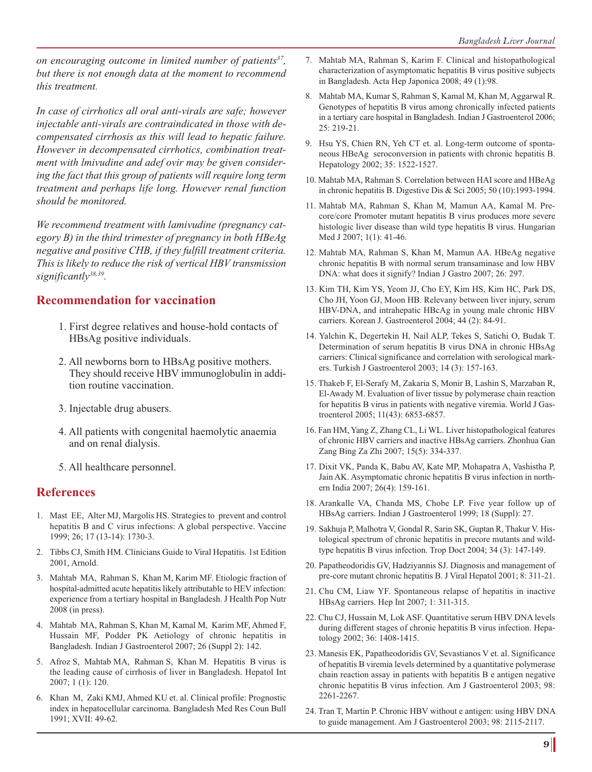*on encouraging outcome in limited number of patients37, but there is not enough data at the moment to recommend this treatment.*

*In case of cirrhotics all oral anti-virals are safe; however injectable anti-virals are contraindicated in those with decompensated cirrhosis as this will lead to hepatic failure. However in decompensated cirrhotics, combination treatment with lmivudine and adef ovir may be given considering the fact that this group of patients will require long term treatment and perhaps life long. However renal function should be monitored.*

*We recommend treatment with lamivudine (pregnancy category B) in the third trimester of pregnancy in both HBeAg negative and positive CHB, if they fulfill treatment criteria. This is likely to reduce the risk of vertical HBV transmission significantly38,39.*

## **Recommendation for vaccination**

- 1. First degree relatives and house-hold contacts of HBsAg positive individuals.
- 2. All newborns born to HBsAg positive mothers. They should receive HBV immunoglobulin in addition routine vaccination.
- 3. Injectable drug abusers.
- 4. All patients with congenital haemolytic anaemia and on renal dialysis.
- 5. All healthcare personnel.

## **References**

- 1. Mast EE, Alter MJ, Margolis HS. Strategies to prevent and control hepatitis B and C virus infections: A global perspective. Vaccine 1999; 26; 17 (13-14): 1730-3.
- 2. Tibbs CJ, Smith HM. Clinicians Guide to Viral Hepatitis. 1st Edition 2001, Arnold.
- 3. Mahtab MA, Rahman S, Khan M, Karim MF. Etiologic fraction of hospital-admitted acute hepatitis likely attributable to HEV infection: experience from a tertiary hospital in Bangladesh. J Health Pop Nutr 2008 (in press).
- 4. Mahtab MA, Rahman S, Khan M, Kamal M, Karim MF, Ahmed F, Hussain MF, Podder PK Aetiology of chronic hepatitis in Bangladesh. Indian J Gastroenterol 2007; 26 (Suppl 2): 142.
- 5. Afroz S, Mahtab MA, Rahman S, Khan M. Hepatitis B virus is the leading cause of cirrhosis of liver in Bangladesh. Hepatol Int 2007; 1 (1): 120.
- 6. Khan M, Zaki KMJ, Ahmed KU et. al. Clinical profile: Prognostic index in hepatocellular carcinoma. Bangladesh Med Res Coun Bull 1991; XVII: 49-62.
- 7. Mahtab MA, Rahman S, Karim F. Clinical and histopathological characterization of asymptomatic hepatitis B virus positive subjects in Bangladesh. Acta Hep Japonica 2008; 49 (1):98.
- 8. Mahtab MA, Kumar S, Rahman S, Kamal M, Khan M, Aggarwal R. Genotypes of hepatitis B virus among chronically infected patients in a tertiary care hospital in Bangladesh. Indian J Gastroenterol 2006; 25: 219-21.
- 9. Hsu YS, Chien RN, Yeh CT et. al. Long-term outcome of spontaneous HBeAg seroconversion in patients with chronic hepatitis B. Hepatology 2002; 35: 1522-1527.
- 10. Mahtab MA, Rahman S. Correlation between HAI score and HBeAg in chronic hepatitis B. Digestive Dis & Sci 2005; 50 (10):1993-1994.
- 11. Mahtab MA, Rahman S, Khan M, Mamun AA, Kamal M. Precore/core Promoter mutant hepatitis B virus produces more severe histologic liver disease than wild type hepatitis B virus. Hungarian Med J 2007; 1(1): 41-46.
- 12. Mahtab MA, Rahman S, Khan M, Mamun AA. HBeAg negative chronic hepatitis B with normal serum transaminase and low HBV DNA: what does it signify? Indian J Gastro 2007; 26: 297.
- 13. Kim TH, Kim YS, Yeom JJ, Cho EY, Kim HS, Kim HC, Park DS, Cho JH, Yoon GJ, Moon HB. Relevany between liver injury, serum HBV-DNA, and intrahepatic HBcAg in young male chronic HBV carriers. Korean J. Gastroenterol 2004; 44 (2): 84-91.
- 14. Yalchin K, Degertekin H, Nail ALP, Tekes S, Satichi O, Budak T. Determination of serum hepatitis B virus DNA in chronic HBsAg carriers: Clinical significance and correlation with serological markers. Turkish J Gastroenterol 2003; 14 (3): 157-163.
- 15. Thakeb F, El-Serafy M, Zakaria S, Monir B, Lashin S, Marzaban R, El-Awady M. Evaluation of liver tissue by polymerase chain reaction for hepatitis B virus in patients with negative viremia. World J Gastroenterol 2005; 11(43): 6853-6857.
- 16. Fan HM, Yang Z, Zhang CL, Li WL. Liver histopathological features of chronic HBV carriers and inactive HBsAg carriers. Zhonhua Gan Zang Bing Za Zhi 2007; 15(5): 334-337.
- 17. Dixit VK, Panda K, Babu AV, Kate MP, Mohapatra A, Vashistha P, Jain AK. Asymptomatic chronic hepatitis B virus infection in northern India 2007; 26(4): 159-161.
- 18. Arankalle VA, Chanda MS, Chobe LP. Five year follow up of HBsAg carriers. Indian J Gastroenterol 1999; 18 (Suppl): 27.
- 19. Sakhuja P, Malhotra V, Gondal R, Sarin SK, Guptan R, Thakur V. Histological spectrum of chronic hepatitis in precore mutants and wildtype hepatitis B virus infection. Trop Doct 2004; 34 (3): 147-149.
- 20. Papatheodoridis GV, Hadziyannis SJ. Diagnosis and management of pre-core mutant chronic hepatitis B. J Viral Hepatol 2001; 8: 311-21.
- 21. Chu CM, Liaw YF. Spontaneous relapse of hepatitis in inactive HBsAg carriers. Hep Int 2007; 1: 311-315.
- 22. Chu CJ, Hussain M, Lok ASF. Quantitative serum HBV DNA levels during different stages of chronic hepatitis B virus infection. Hepatology 2002; 36: 1408-1415.
- 23. Manesis EK, Papatheodoridis GV, Sevastianos V et. al. Significance of hepatitis B viremia levels determined by a quantitative polymerase chain reaction assay in patients with hepatitis B e antigen negative chronic hepatitis B virus infection. Am J Gastroenterol 2003; 98: 2261-2267.
- 24. Tran T, Martin P. Chronic HBV without e antigen: using HBV DNA to guide management. Am J Gastroenterol 2003; 98: 2115-2117.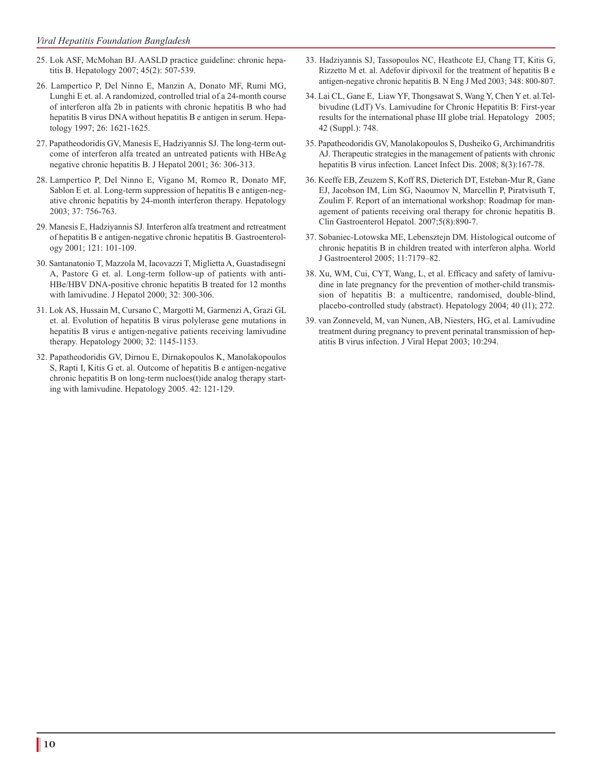- 25. Lok ASF, McMohan BJ. AASLD practice guideline: chronic hepatitis B. Hepatology 2007; 45(2): 507-539.
- 26. Lampertico P, Del Ninno E, Manzin A, Donato MF, Rumi MG, Lunghi E et. al. A randomized, controlled trial of a 24-month course of interferon alfa 2b in patients with chronic hepatitis B who had hepatitis B virus DNA without hepatitis B e antigen in serum. Hepatology 1997; 26: 1621-1625.
- 27. Papatheodoridis GV, Manesis E, Hadziyannis SJ. The long-term outcome of interferon alfa treated an untreated patients with HBeAg negative chronic hepatitis B. J Hepatol 2001; 36: 306-313.
- 28. Lampertico P, Del Ninno E, Vigano M, Romeo R, Donato MF, Sablon E et. al. Long-term suppression of hepatitis B e antigen-negative chronic hepatitis by 24-month interferon therapy. Hepatology 2003; 37: 756-763.
- 29. Manesis E, Hadziyannis SJ. Interferon alfa treatment and retreatment of hepatitis B e antigen-negative chronic hepatitis B. Gastroenterology 2001; 121: 101-109.
- 30. Santanatonio T, Mazzola M, Iacovazzi T, Miglietta A, Guastadisegni A, Pastore G et. al. Long-term follow-up of patients with anti-HBe/HBV DNA-positive chronic hepatitis B treated for 12 months with lamivudine. J Hepatol 2000; 32: 300-306.
- 31. Lok AS, Hussain M, Cursano C, Margotti M, Garmenzi A, Grazi GL et. al. Evolution of hepatitis B virus polylerase gene mutations in hepatitis B virus e antigen-negative patients receiving lamivudine therapy. Hepatology 2000; 32: 1145-1153.
- 32. Papatheodoridis GV, Dirnou E, Dirnakopoulos K, Manolakopoulos S, Rapti I, Kitis G et. al. Outcome of hepatitis B e antigen-negative chronic hepatitis B on long-term nucloes(t)ide analog therapy starting with lamivudine. Hepatology 2005. 42: 121-129.
- 33. Hadziyannis SJ, Tassopoulos NC, Heathcote EJ, Chang TT, Kitis G, Rizzetto M et. al. Adefovir dipivoxil for the treatment of hepatitis B e antigen-negative chronic hepatitis B. N Eng J Med 2003; 348: 800-807.
- 34. Lai CL, Gane E, Liaw YF, Thongsawat S, Wang Y, Chen Y et. al.Telbivudine (LdT) Vs. Lamivudine for Chronic Hepatitis B: First-year results for the international phase III globe trial. Hepatology 2005; 42 (Suppl.): 748.
- 35. Papatheodoridis GV, Manolakopoulos S, Dusheiko G, Archimandritis AJ. Therapeutic strategies in the management of patients with chronic hepatitis B virus infection. Lancet Infect Dis. 2008; 8(3):167-78.
- 36. Keeffe EB, Zeuzem S, Koff RS, Dieterich DT, Esteban-Mur R, Gane EJ, Jacobson IM, Lim SG, Naoumov N, Marcellin P, Piratvisuth T, Zoulim F. Report of an international workshop: Roadmap for management of patients receiving oral therapy for chronic hepatitis B. Clin Gastroenterol Hepatol. 2007;5(8):890-7.
- 37. Sobaniec-Lotowska ME, Lebensztejn DM. Histological outcome of chronic hepatitis B in children treated with interferon alpha. World J Gastroenterol 2005; 11:7179–82.
- 38. Xu, WM, Cui, CYT, Wang, L, et al. Efficacy and safety of lamivudine in late pregnancy for the prevention of mother-child transmission of hepatitis B: a multicentre, randomised, double-blind, placebo-controlled study (abstract). Hepatology 2004; 40 (l1); 272.
- 39. van Zonneveld, M, van Nunen, AB, Niesters, HG, et al. Lamivudine treatment during pregnancy to prevent perinatal transmission of hepatitis B virus infection. J Viral Hepat 2003; 10:294.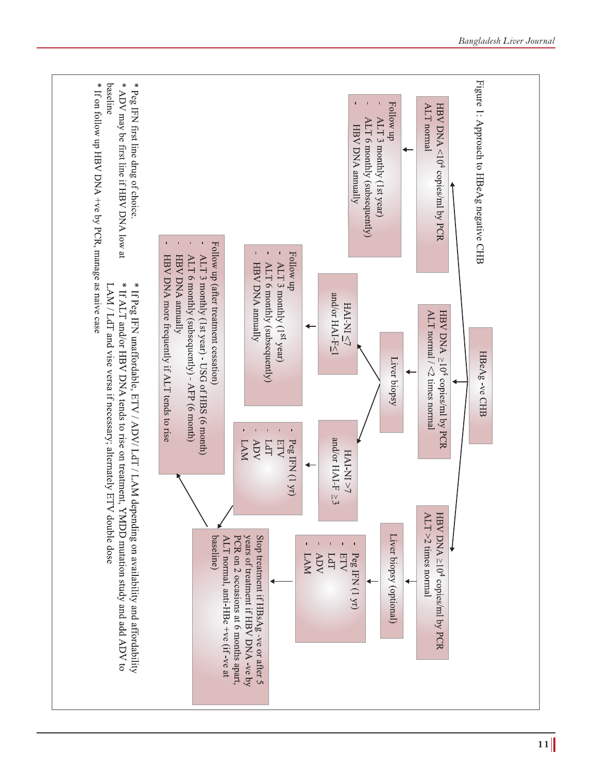